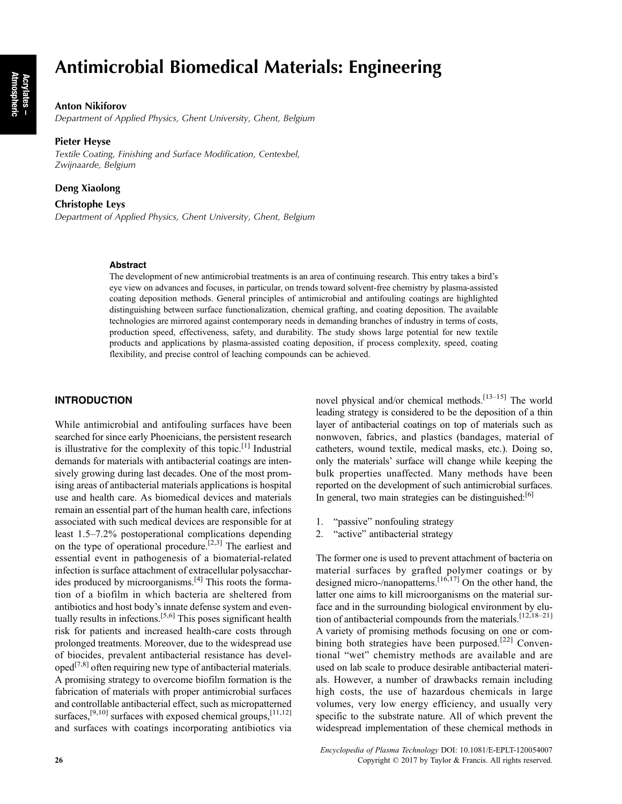# Antimicrobial Biomedical Materials: Engineering

# Anton Nikiforov

Department of Applied Physics, Ghent University, Ghent, Belgium

#### Pieter Heyse

Textile Coating, Finishing and Surface Modification, Centexbel, Zwijnaarde, Belgium

### Deng Xiaolong

Christophe Leys

Department of Applied Physics, Ghent University, Ghent, Belgium

#### **Abstract**

The development of new antimicrobial treatments is an area of continuing research. This entry takes a bird's eye view on advances and focuses, in particular, on trends toward solvent-free chemistry by plasma-assisted coating deposition methods. General principles of antimicrobial and antifouling coatings are highlighted distinguishing between surface functionalization, chemical grafting, and coating deposition. The available technologies are mirrored against contemporary needs in demanding branches of industry in terms of costs, production speed, effectiveness, safety, and durability. The study shows large potential for new textile products and applications by plasma-assisted coating deposition, if process complexity, speed, coating flexibility, and precise control of leaching compounds can be achieved.

# **INTRODUCTION**

While antimicrobial and antifouling surfaces have been searched for since early Phoenicians, the persistent research is illustrative for the complexity of this topic.<sup>[\[1\]](#page-6-0)</sup> Industrial demands for materials with antibacterial coatings are intensively growing during last decades. One of the most promising areas of antibacterial materials applications is hospital use and health care. As biomedical devices and materials remain an essential part of the human health care, infections associated with such medical devices are responsible for at least 1.5–7.2% postoperational complications depending on the type of operational procedure.<sup>[\[2,3\]](#page-6-0)</sup> The earliest and essential event in pathogenesis of a biomaterial-related infection is surface attachment of extracellular polysaccharides produced by microorganisms.<sup>[4]</sup> This roots the formation of a biofilm in which bacteria are sheltered from antibiotics and host body's innate defense system and eventually results in infections.[\[5,6\]](#page-6-0) This poses significant health risk for patients and increased health-care costs through prolonged treatments. Moreover, due to the widespread use of biocides, prevalent antibacterial resistance has devel- $\text{oped}^{[7,8]}$  $\text{oped}^{[7,8]}$  $\text{oped}^{[7,8]}$  often requiring new type of antibacterial materials. A promising strategy to overcome biofilm formation is the fabrication of materials with proper antimicrobial surfaces and controllable antibacterial effect, such as micropatterned surfaces,<sup>[\[9,10\]](#page-7-0)</sup> surfaces with exposed chemical groups,<sup>[\[11,12\]](#page-7-0)</sup> and surfaces with coatings incorporating antibiotics via novel physical and/or chemical methods.<sup>[13-15]</sup> The world leading strategy is considered to be the deposition of a thin layer of antibacterial coatings on top of materials such as nonwoven, fabrics, and plastics (bandages, material of catheters, wound textile, medical masks, etc.). Doing so, only the materials' surface will change while keeping the bulk properties unaffected. Many methods have been reported on the development of such antimicrobial surfaces. In general, two main strategies can be distinguished: $[6]$ 

- 1. "passive" nonfouling strategy
- 2. "active" antibacterial strategy

The former one is used to prevent attachment of bacteria on material surfaces by grafted polymer coatings or by designed micro-/nanopatterns.<sup>[\[16,17\]](#page-7-0)</sup> On the other hand, the latter one aims to kill microorganisms on the material surface and in the surrounding biological environment by elu-tion of antibacterial compounds from the materials.<sup>[\[12,](#page-7-0)18–[21\]](#page-7-0)</sup> A variety of promising methods focusing on one or com-bining both strategies have been purposed.<sup>[\[22\]](#page-7-0)</sup> Conventional "wet" chemistry methods are available and are used on lab scale to produce desirable antibacterial materials. However, a number of drawbacks remain including high costs, the use of hazardous chemicals in large volumes, very low energy efficiency, and usually very specific to the substrate nature. All of which prevent the widespread implementation of these chemical methods in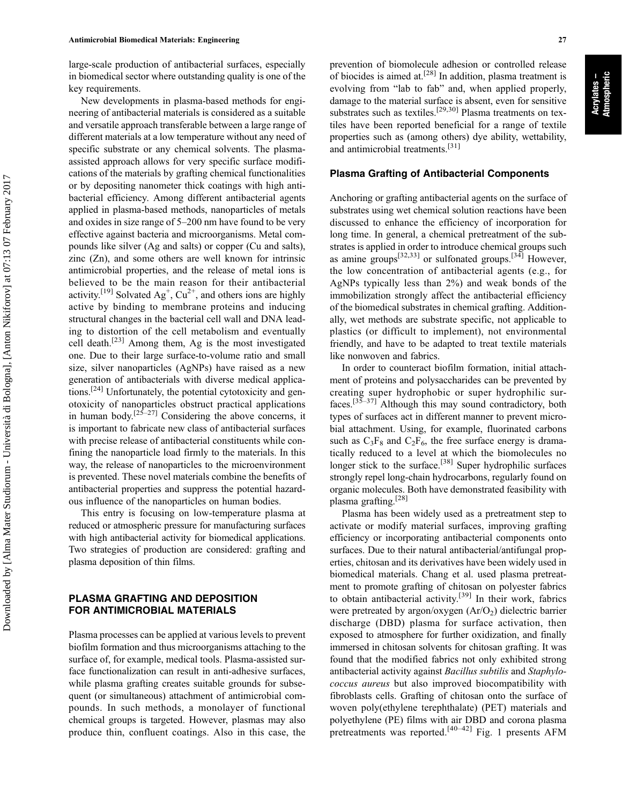large-scale production of antibacterial surfaces, especially in biomedical sector where outstanding quality is one of the key requirements.

New developments in plasma-based methods for engineering of antibacterial materials is considered as a suitable and versatile approach transferable between a large range of different materials at a low temperature without any need of specific substrate or any chemical solvents. The plasmaassisted approach allows for very specific surface modifications of the materials by grafting chemical functionalities or by depositing nanometer thick coatings with high antibacterial efficiency. Among different antibacterial agents applied in plasma-based methods, nanoparticles of metals and oxides in size range of 5–200 nm have found to be very effective against bacteria and microorganisms. Metal compounds like silver (Ag and salts) or copper (Cu and salts), zinc (Zn), and some others are well known for intrinsic antimicrobial properties, and the release of metal ions is believed to be the main reason for their antibacterial activity.<sup>[\[19\]](#page-7-0)</sup> Solvated Ag<sup>+</sup>, Cu<sup>2+</sup>, and others ions are highly active by binding to membrane proteins and inducing structural changes in the bacterial cell wall and DNA leading to distortion of the cell metabolism and eventually cell death.[\[23\]](#page-7-0) Among them, Ag is the most investigated one. Due to their large surface-to-volume ratio and small size, silver nanoparticles (AgNPs) have raised as a new generation of antibacterials with diverse medical applications.<sup>[24]</sup> Unfortunately, the potential cytotoxicity and genotoxicity of nanoparticles obstruct practical applications in human body.<sup>[25–[27\]](#page-7-0)</sup> Considering the above concerns, it is important to fabricate new class of antibacterial surfaces with precise release of antibacterial constituents while confining the nanoparticle load firmly to the materials. In this way, the release of nanoparticles to the microenvironment is prevented. These novel materials combine the benefits of antibacterial properties and suppress the potential hazardous influence of the nanoparticles on human bodies.

This entry is focusing on low-temperature plasma at reduced or atmospheric pressure for manufacturing surfaces with high antibacterial activity for biomedical applications. Two strategies of production are considered: grafting and plasma deposition of thin films.

# **PLASMA GRAFTING AND DEPOSITION FOR ANTIMICROBIAL MATERIALS**

Downloaded by [Alma Mater Studiorum - Università di Bologna], [Anton Nikiforov] at 07:13 07 February 2017

Downloaded by [Alma Mater Studiorum - Università di Bologna], [Anton Nikiforov] at 07:13 07 February 2017

Plasma processes can be applied at various levels to prevent biofilm formation and thus microorganisms attaching to the surface of, for example, medical tools. Plasma-assisted surface functionalization can result in anti-adhesive surfaces, while plasma grafting creates suitable grounds for subsequent (or simultaneous) attachment of antimicrobial compounds. In such methods, a monolayer of functional chemical groups is targeted. However, plasmas may also produce thin, confluent coatings. Also in this case, the prevention of biomolecule adhesion or controlled release of biocides is aimed at.<sup>[\[28\]](#page-7-0)</sup> In addition, plasma treatment is evolving from "lab to fab" and, when applied properly, damage to the material surface is absent, even for sensitive substrates such as textiles.<sup>[\[29,30\]](#page-7-0)</sup> Plasma treatments on textiles have been reported beneficial for a range of textile properties such as (among others) dye ability, wettability, and antimicrobial treatments.[\[31\]](#page-7-0)

#### **Plasma Grafting of Antibacterial Components**

Anchoring or grafting antibacterial agents on the surface of substrates using wet chemical solution reactions have been discussed to enhance the efficiency of incorporation for long time. In general, a chemical pretreatment of the substrates is applied in order to introduce chemical groups such as amine groups<sup>[\[32,33\]](#page-7-0)</sup> or sulfonated groups.<sup>[\[34\]](#page-7-0)</sup> However, the low concentration of antibacterial agents (e.g., for AgNPs typically less than 2%) and weak bonds of the immobilization strongly affect the antibacterial efficiency of the biomedical substrates in chemical grafting. Additionally, wet methods are substrate specific, not applicable to plastics (or difficult to implement), not environmental friendly, and have to be adapted to treat textile materials like nonwoven and fabrics.

In order to counteract biofilm formation, initial attachment of proteins and polysaccharides can be prevented by creating super hydrophobic or super hydrophilic sur-faces.<sup>[\[35](#page-7-0)–37]</sup> Although this may sound contradictory, both types of surfaces act in different manner to prevent microbial attachment. Using, for example, fluorinated carbons such as  $C_3F_8$  and  $C_2F_6$ , the free surface energy is dramatically reduced to a level at which the biomolecules no longer stick to the surface.<sup>[\[38\]](#page-8-0)</sup> Super hydrophilic surfaces strongly repel long-chain hydrocarbons, regularly found on organic molecules. Both have demonstrated feasibility with plasma grafting.[\[28\]](#page-7-0)

Plasma has been widely used as a pretreatment step to activate or modify material surfaces, improving grafting efficiency or incorporating antibacterial components onto surfaces. Due to their natural antibacterial/antifungal properties, chitosan and its derivatives have been widely used in biomedical materials. Chang et al. used plasma pretreatment to promote grafting of chitosan on polyester fabrics to obtain antibacterial activity.<sup>[\[39\]](#page-8-0)</sup> In their work, fabrics were pretreated by argon/oxygen  $(Ar/O<sub>2</sub>)$  dielectric barrier discharge (DBD) plasma for surface activation, then exposed to atmosphere for further oxidization, and finally immersed in chitosan solvents for chitosan grafting. It was found that the modified fabrics not only exhibited strong antibacterial activity against Bacillus subtilis and Staphylococcus aureus but also improved biocompatibility with fibroblasts cells. Grafting of chitosan onto the surface of woven poly(ethylene terephthalate) (PET) materials and polyethylene (PE) films with air DBD and corona plasma pretreatments was reported.<sup>[\[40](#page-8-0)–42]</sup> [Fig. 1](#page-2-0) presents AFM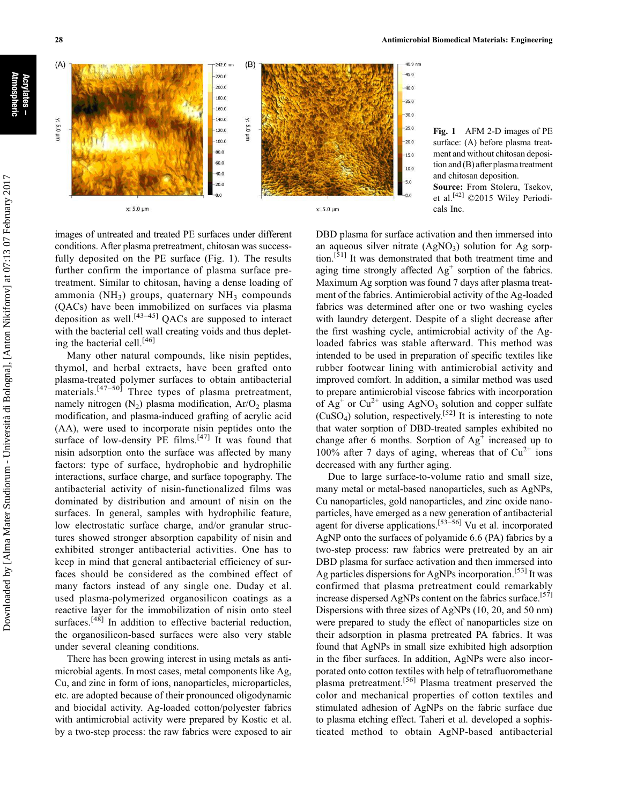<span id="page-2-0"></span>

Fig. 1 AFM 2-D images of PE surface: (A) before plasma treatment and without chitosan deposition and (B) after plasma treatment and chitosan deposition. Source: From Stoleru, Tsekov, et al.[\[42\]](#page-8-0) ©2015 Wiley Periodi-

images of untreated and treated PE surfaces under different conditions. After plasma pretreatment, chitosan was successfully deposited on the PE surface (Fig. 1). The results further confirm the importance of plasma surface pretreatment. Similar to chitosan, having a dense loading of ammonia (NH<sub>3</sub>) groups, quaternary NH<sub>3</sub> compounds (QACs) have been immobilized on surfaces via plasma deposition as well.<sup>[43–[45\]](#page-8-0)</sup> QACs are supposed to interact with the bacterial cell wall creating voids and thus deplet-ing the bacterial cell.<sup>[\[46\]](#page-8-0)</sup>

Many other natural compounds, like nisin peptides, thymol, and herbal extracts, have been grafted onto plasma-treated polymer surfaces to obtain antibacterial materials.<sup>[\[47](#page-8-0)–50]</sup> Three types of plasma pretreatment, namely nitrogen  $(N_2)$  plasma modification, Ar/O<sub>2</sub> plasma modification, and plasma-induced grafting of acrylic acid (AA), were used to incorporate nisin peptides onto the surface of low-density PE films.  $[47]$  It was found that nisin adsorption onto the surface was affected by many factors: type of surface, hydrophobic and hydrophilic interactions, surface charge, and surface topography. The antibacterial activity of nisin-functionalized films was dominated by distribution and amount of nisin on the surfaces. In general, samples with hydrophilic feature, low electrostatic surface charge, and/or granular structures showed stronger absorption capability of nisin and exhibited stronger antibacterial activities. One has to keep in mind that general antibacterial efficiency of surfaces should be considered as the combined effect of many factors instead of any single one. Duday et al. used plasma-polymerized organosilicon coatings as a reactive layer for the immobilization of nisin onto steel surfaces.<sup>[\[48\]](#page-8-0)</sup> In addition to effective bacterial reduction, the organosilicon-based surfaces were also very stable under several cleaning conditions.

There has been growing interest in using metals as antimicrobial agents. In most cases, metal components like Ag, Cu, and zinc in form of ions, nanoparticles, microparticles, etc. are adopted because of their pronounced oligodynamic and biocidal activity. Ag-loaded cotton/polyester fabrics with antimicrobial activity were prepared by Kostic et al. by a two-step process: the raw fabrics were exposed to air

DBD plasma for surface activation and then immersed into an aqueous silver nitrate  $(AgNO_3)$  solution for Ag sorp-tion.<sup>[\[51\]](#page-8-0)</sup> It was demonstrated that both treatment time and aging time strongly affected  $Ag<sup>+</sup>$  sorption of the fabrics. Maximum Ag sorption was found 7 days after plasma treatment of the fabrics. Antimicrobial activity of the Ag-loaded fabrics was determined after one or two washing cycles with laundry detergent. Despite of a slight decrease after the first washing cycle, antimicrobial activity of the Agloaded fabrics was stable afterward. This method was intended to be used in preparation of specific textiles like rubber footwear lining with antimicrobial activity and improved comfort. In addition, a similar method was used to prepare antimicrobial viscose fabrics with incorporation of  $Ag<sup>+</sup>$  or Cu<sup>2+</sup> using AgNO<sub>3</sub> solution and copper sulfate  $(CuSO<sub>4</sub>)$  solution, respectively.<sup>[52]</sup> It is interesting to note that water sorption of DBD-treated samples exhibited no change after 6 months. Sorption of  $Ag<sup>+</sup>$  increased up to 100% after 7 days of aging, whereas that of  $Cu^{2+}$  ions decreased with any further aging.

cals Inc.

Due to large surface-to-volume ratio and small size, many metal or metal-based nanoparticles, such as AgNPs, Cu nanoparticles, gold nanoparticles, and zinc oxide nanoparticles, have emerged as a new generation of antibacterial agent for diverse applications.<sup>[\[53](#page-8-0) $-56$ ]</sup> Vu et al. incorporated AgNP onto the surfaces of polyamide 6.6 (PA) fabrics by a two-step process: raw fabrics were pretreated by an air DBD plasma for surface activation and then immersed into Ag particles dispersions for AgNPs incorporation.<sup>[\[53\]](#page-8-0)</sup> It was confirmed that plasma pretreatment could remarkably increase dispersed AgNPs content on the fabrics surface.<sup>[\[57\]](#page-8-0)</sup> Dispersions with three sizes of AgNPs (10, 20, and 50 nm) were prepared to study the effect of nanoparticles size on their adsorption in plasma pretreated PA fabrics. It was found that AgNPs in small size exhibited high adsorption in the fiber surfaces. In addition, AgNPs were also incorporated onto cotton textiles with help of tetrafluoromethane plasma pretreatment.[\[56\]](#page-8-0) Plasma treatment preserved the color and mechanical properties of cotton textiles and stimulated adhesion of AgNPs on the fabric surface due to plasma etching effect. Taheri et al. developed a sophisticated method to obtain AgNP-based antibacterial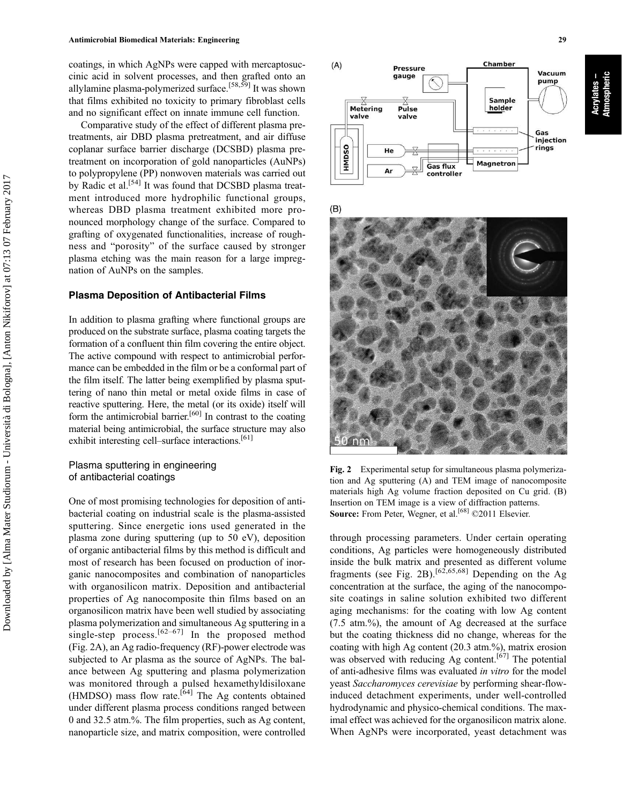coatings, in which AgNPs were capped with mercaptosuccinic acid in solvent processes, and then grafted onto an allylamine plasma-polymerized surface.<sup>[\[58,59\]](#page-8-0)</sup> It was shown that films exhibited no toxicity to primary fibroblast cells and no significant effect on innate immune cell function.

Comparative study of the effect of different plasma pretreatments, air DBD plasma pretreatment, and air diffuse coplanar surface barrier discharge (DCSBD) plasma pretreatment on incorporation of gold nanoparticles (AuNPs) to polypropylene (PP) nonwoven materials was carried out by Radic et al.<sup>[54]</sup> It was found that DCSBD plasma treatment introduced more hydrophilic functional groups, whereas DBD plasma treatment exhibited more pronounced morphology change of the surface. Compared to grafting of oxygenated functionalities, increase of roughness and "porosity" of the surface caused by stronger plasma etching was the main reason for a large impregnation of AuNPs on the samples.

#### **Plasma Deposition of Antibacterial Films**

In addition to plasma grafting where functional groups are produced on the substrate surface, plasma coating targets the formation of a confluent thin film covering the entire object. The active compound with respect to antimicrobial performance can be embedded in the film or be a conformal part of the film itself. The latter being exemplified by plasma sputtering of nano thin metal or metal oxide films in case of reactive sputtering. Here, the metal (or its oxide) itself will form the antimicrobial barrier.<sup>[60]</sup> In contrast to the coating material being antimicrobial, the surface structure may also exhibit interesting cell–surface interactions.<sup>[61]</sup>

# Plasma sputtering in engineering of antibacterial coatings

One of most promising technologies for deposition of antibacterial coating on industrial scale is the plasma-assisted sputtering. Since energetic ions used generated in the plasma zone during sputtering (up to 50 eV), deposition of organic antibacterial films by this method is difficult and most of research has been focused on production of inorganic nanocomposites and combination of nanoparticles with organosilicon matrix. Deposition and antibacterial properties of Ag nanocomposite thin films based on an organosilicon matrix have been well studied by associating plasma polymerization and simultaneous Ag sputtering in a single-step process.<sup>[62–[67\]](#page-8-0)</sup> In the proposed method (Fig. 2A), an Ag radio-frequency (RF)-power electrode was subjected to Ar plasma as the source of AgNPs. The balance between Ag sputtering and plasma polymerization was monitored through a pulsed hexamethyldisiloxane (HMDSO) mass flow rate.<sup>[\[64\]](#page-8-0)</sup> The Ag contents obtained under different plasma process conditions ranged between 0 and 32.5 atm.%. The film properties, such as Ag content, nanoparticle size, and matrix composition, were controlled



 $(B)$ 



Fig. 2 Experimental setup for simultaneous plasma polymerization and Ag sputtering (A) and TEM image of nanocomposite materials high Ag volume fraction deposited on Cu grid. (B) Insertion on TEM image is a view of diffraction patterns. Source: From Peter, Wegner, et al.<sup>[\[68\]](#page-9-0)</sup> ©2011 Elsevier.

through processing parameters. Under certain operating conditions, Ag particles were homogeneously distributed inside the bulk matrix and presented as different volume fragments (see Fig. 2B).<sup>[\[62,](#page-8-0)[65,68\]](#page-9-0)</sup> Depending on the Ag concentration at the surface, the aging of the nanocomposite coatings in saline solution exhibited two different aging mechanisms: for the coating with low Ag content (7.5 atm.%), the amount of Ag decreased at the surface but the coating thickness did no change, whereas for the coating with high Ag content (20.3 atm.%), matrix erosion was observed with reducing Ag content.<sup>[\[67\]](#page-9-0)</sup> The potential of anti-adhesive films was evaluated in vitro for the model yeast Saccharomyces cerevisiae by performing shear-flowinduced detachment experiments, under well-controlled hydrodynamic and physico-chemical conditions. The maximal effect was achieved for the organosilicon matrix alone. When AgNPs were incorporated, yeast detachment was Acrylates – Atmospheric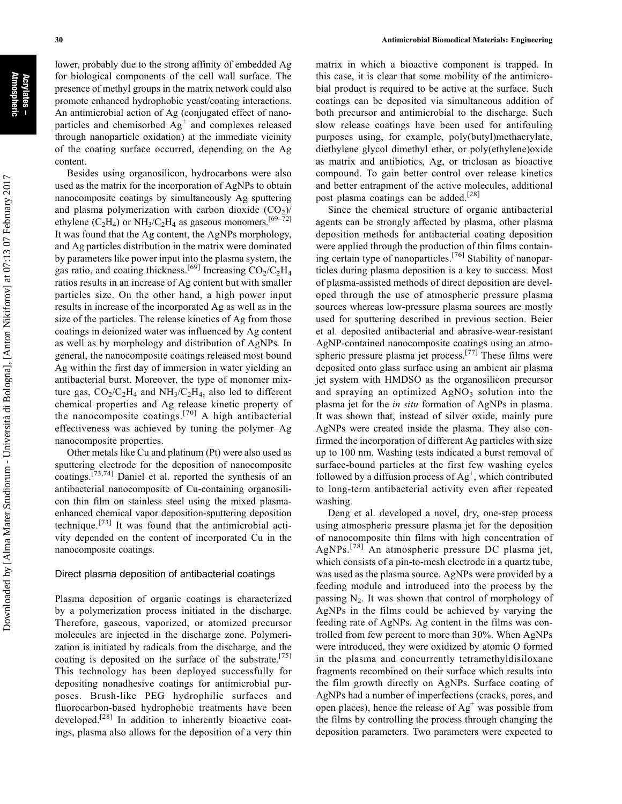lower, probably due to the strong affinity of embedded Ag for biological components of the cell wall surface. The presence of methyl groups in the matrix network could also promote enhanced hydrophobic yeast/coating interactions. An antimicrobial action of Ag (conjugated effect of nanoparticles and chemisorbed  $Ag<sup>+</sup>$  and complexes released through nanoparticle oxidation) at the immediate vicinity of the coating surface occurred, depending on the Ag content.

Besides using organosilicon, hydrocarbons were also used as the matrix for the incorporation of AgNPs to obtain nanocomposite coatings by simultaneously Ag sputtering and plasma polymerization with carbon dioxide  $(CO_2)$ / ethylene (C<sub>2</sub>H<sub>4</sub>) or NH<sub>3</sub>/C<sub>2</sub>H<sub>4</sub> as gaseous monomers.<sup>[69–72]</sup> It was found that the Ag content, the AgNPs morphology, and Ag particles distribution in the matrix were dominated by parameters like power input into the plasma system, the gas ratio, and coating thickness.<sup>[\[69\]](#page-9-0)</sup> Increasing  $CO<sub>2</sub>/C<sub>2</sub>H<sub>4</sub>$ ratios results in an increase of Ag content but with smaller particles size. On the other hand, a high power input results in increase of the incorporated Ag as well as in the size of the particles. The release kinetics of Ag from those coatings in deionized water was influenced by Ag content as well as by morphology and distribution of AgNPs. In general, the nanocomposite coatings released most bound Ag within the first day of immersion in water yielding an antibacterial burst. Moreover, the type of monomer mixture gas,  $CO_2/C_2H_4$  and  $NH_3/C_2H_4$ , also led to different chemical properties and Ag release kinetic property of the nanocomposite coatings.<sup>[\[70\]](#page-9-0)</sup> A high antibacterial effectiveness was achieved by tuning the polymer–Ag nanocomposite properties.

Other metals like Cu and platinum (Pt) were also used as sputtering electrode for the deposition of nanocomposite coatings.[\[73,74\]](#page-9-0) Daniel et al. reported the synthesis of an antibacterial nanocomposite of Cu-containing organosilicon thin film on stainless steel using the mixed plasmaenhanced chemical vapor deposition-sputtering deposition technique.<sup>[\[73\]](#page-9-0)</sup> It was found that the antimicrobial activity depended on the content of incorporated Cu in the nanocomposite coatings.

#### Direct plasma deposition of antibacterial coatings

Plasma deposition of organic coatings is characterized by a polymerization process initiated in the discharge. Therefore, gaseous, vaporized, or atomized precursor molecules are injected in the discharge zone. Polymerization is initiated by radicals from the discharge, and the coating is deposited on the surface of the substrate.<sup>[\[75\]](#page-9-0)</sup> This technology has been deployed successfully for depositing nonadhesive coatings for antimicrobial purposes. Brush-like PEG hydrophilic surfaces and fluorocarbon-based hydrophobic treatments have been developed.<sup>[\[28\]](#page-7-0)</sup> In addition to inherently bioactive coatings, plasma also allows for the deposition of a very thin matrix in which a bioactive component is trapped. In this case, it is clear that some mobility of the antimicrobial product is required to be active at the surface. Such coatings can be deposited via simultaneous addition of both precursor and antimicrobial to the discharge. Such slow release coatings have been used for antifouling purposes using, for example, poly(butyl)methacrylate, diethylene glycol dimethyl ether, or poly(ethylene)oxide as matrix and antibiotics, Ag, or triclosan as bioactive compound. To gain better control over release kinetics and better entrapment of the active molecules, additional post plasma coatings can be added.<sup>[\[28\]](#page-7-0)</sup>

Since the chemical structure of organic antibacterial agents can be strongly affected by plasma, other plasma deposition methods for antibacterial coating deposition were applied through the production of thin films containing certain type of nanoparticles.[\[76\]](#page-9-0) Stability of nanoparticles during plasma deposition is a key to success. Most of plasma-assisted methods of direct deposition are developed through the use of atmospheric pressure plasma sources whereas low-pressure plasma sources are mostly used for sputtering described in previous section. Beier et al. deposited antibacterial and abrasive-wear-resistant AgNP-contained nanocomposite coatings using an atmospheric pressure plasma jet process.[\[77\]](#page-9-0) These films were deposited onto glass surface using an ambient air plasma jet system with HMDSO as the organosilicon precursor and spraying an optimized  $AgNO<sub>3</sub>$  solution into the plasma jet for the in situ formation of AgNPs in plasma. It was shown that, instead of silver oxide, mainly pure AgNPs were created inside the plasma. They also confirmed the incorporation of different Ag particles with size up to 100 nm. Washing tests indicated a burst removal of surface-bound particles at the first few washing cycles followed by a diffusion process of  $Ag^+$ , which contributed to long-term antibacterial activity even after repeated washing.

Deng et al. developed a novel, dry, one-step process using atmospheric pressure plasma jet for the deposition of nanocomposite thin films with high concentration of AgNPs.[\[78\]](#page-9-0) An atmospheric pressure DC plasma jet, which consists of a pin-to-mesh electrode in a quartz tube, was used as the plasma source. AgNPs were provided by a feeding module and introduced into the process by the passing  $N_2$ . It was shown that control of morphology of AgNPs in the films could be achieved by varying the feeding rate of AgNPs. Ag content in the films was controlled from few percent to more than 30%. When AgNPs were introduced, they were oxidized by atomic O formed in the plasma and concurrently tetramethyldisiloxane fragments recombined on their surface which results into the film growth directly on AgNPs. Surface coating of AgNPs had a number of imperfections (cracks, pores, and open places), hence the release of  $Ag<sup>+</sup>$  was possible from the films by controlling the process through changing the deposition parameters. Two parameters were expected to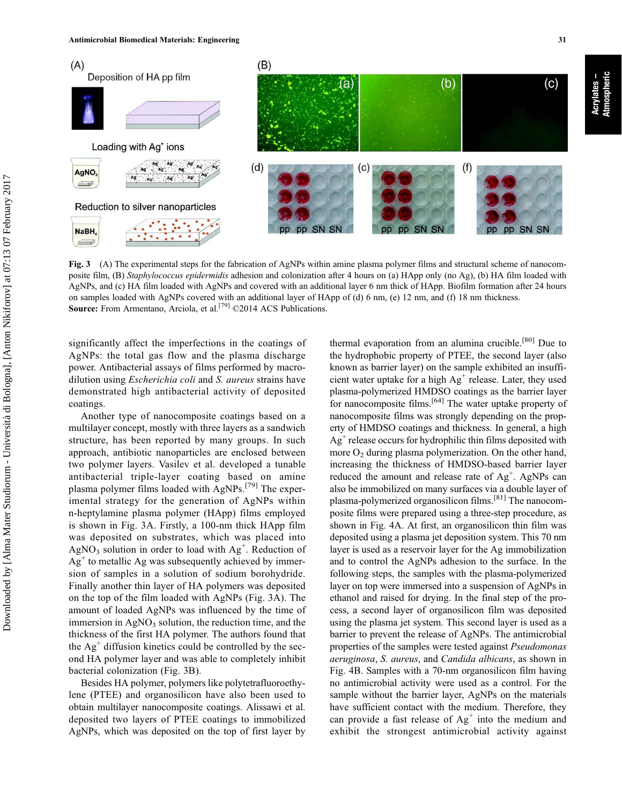

Fig. 3 (A) The experimental steps for the fabrication of AgNPs within amine plasma polymer films and structural scheme of nanocomposite film, (B) Staphylococcus epidermidis adhesion and colonization after 4 hours on (a) HApp only (no Ag), (b) HA film loaded with AgNPs, and (c) HA film loaded with AgNPs and covered with an additional layer 6 nm thick of HApp. Biofilm formation after 24 hours on samples loaded with AgNPs covered with an additional layer of HApp of (d) 6 nm, (e) 12 nm, and (f) 18 nm thickness. Source: From Armentano, Arciola, et al.<sup>[\[79\]](#page-9-0)</sup> ©2014 ACS Publications.

significantly affect the imperfections in the coatings of AgNPs: the total gas flow and the plasma discharge power. Antibacterial assays of films performed by macrodilution using *Escherichia coli* and *S. aureus* strains have demonstrated high antibacterial activity of deposited coatings.

Another type of nanocomposite coatings based on a multilayer concept, mostly with three layers as a sandwich structure, has been reported by many groups. In such approach, antibiotic nanoparticles are enclosed between two polymer layers. Vasilev et al. developed a tunable antibacterial triple-layer coating based on amine plasma polymer films loaded with AgNPs.<sup>[\[79\]](#page-9-0)</sup> The experimental strategy for the generation of AgNPs within n-heptylamine plasma polymer (HApp) films employed is shown in Fig. 3A. Firstly, a 100-nm thick HApp film was deposited on substrates, which was placed into  $AgNO<sub>3</sub>$  solution in order to load with Ag<sup>+</sup>. Reduction of  $Ag<sup>+</sup>$  to metallic Ag was subsequently achieved by immersion of samples in a solution of sodium borohydride. Finally another thin layer of HA polymers was deposited on the top of the film loaded with AgNPs (Fig. 3A). The amount of loaded AgNPs was influenced by the time of immersion in  $AgNO<sub>3</sub>$  solution, the reduction time, and the thickness of the first HA polymer. The authors found that the  $Ag<sup>+</sup>$  diffusion kinetics could be controlled by the second HA polymer layer and was able to completely inhibit bacterial colonization (Fig. 3B).

Besides HA polymer, polymers like polytetrafluoroethylene (PTEE) and organosilicon have also been used to obtain multilayer nanocomposite coatings. Alissawi et al. deposited two layers of PTEE coatings to immobilized AgNPs, which was deposited on the top of first layer by

thermal evaporation from an alumina crucible.<sup>[\[80\]](#page-9-0)</sup> Due to the hydrophobic property of PTEE, the second layer (also known as barrier layer) on the sample exhibited an insufficient water uptake for a high  $Ag<sup>+</sup>$  release. Later, they used plasma-polymerized HMDSO coatings as the barrier layer for nanocomposite films.[\[64\]](#page-8-0) The water uptake property of nanocomposite films was strongly depending on the property of HMDSO coatings and thickness. In general, a high  $Ag<sup>+</sup>$  release occurs for hydrophilic thin films deposited with more  $O_2$  during plasma polymerization. On the other hand, increasing the thickness of HMDSO-based barrier layer reduced the amount and release rate of  $Ag^+$ . AgNPs can also be immobilized on many surfaces via a double layer of plasma-polymerized organosilicon films.[\[81\]](#page-9-0) The nanocomposite films were prepared using a three-step procedure, as shown in [Fig. 4A](#page-6-0). At first, an organosilicon thin film was deposited using a plasma jet deposition system. This 70 nm layer is used as a reservoir layer for the Ag immobilization and to control the AgNPs adhesion to the surface. In the following steps, the samples with the plasma-polymerized layer on top were immersed into a suspension of AgNPs in ethanol and raised for drying. In the final step of the process, a second layer of organosilicon film was deposited using the plasma jet system. This second layer is used as a barrier to prevent the release of AgNPs. The antimicrobial properties of the samples were tested against Pseudomonas aeruginosa, S. aureus, and Candida albicans, as shown in [Fig. 4B](#page-6-0). Samples with a 70-nm organosilicon film having no antimicrobial activity were used as a control. For the sample without the barrier layer, AgNPs on the materials have sufficient contact with the medium. Therefore, they can provide a fast release of  $Ag<sup>+</sup>$  into the medium and exhibit the strongest antimicrobial activity against Acrylates – Atmospheric

Acrylates –<br>Atmospheric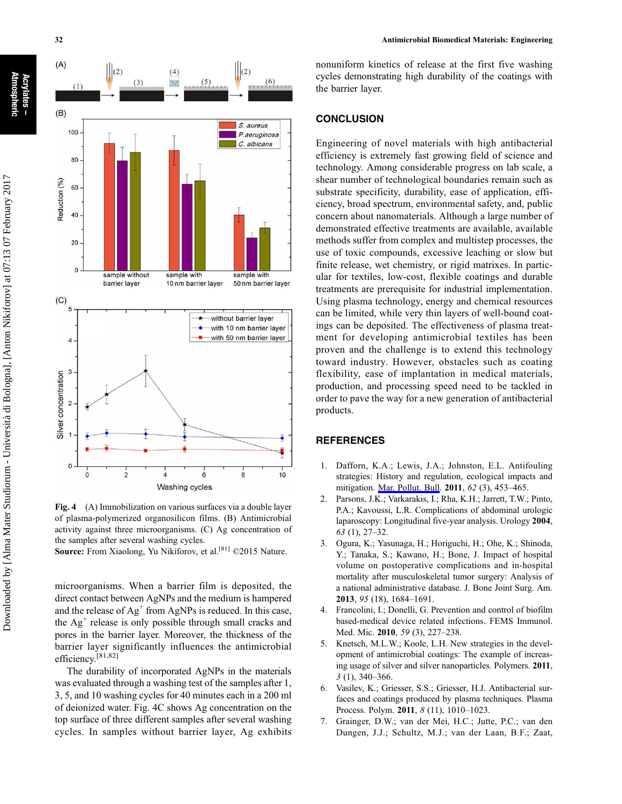

<span id="page-6-0"></span>



Fig. 4 (A) Immobilization on various surfaces via a double layer of plasma-polymerized organosilicon films. (B) Antimicrobial activity against three microorganisms. (C) Ag concentration of the samples after several washing cycles.

Washing cycles

Source: From Xiaolong, Yu Nikiforov, et al.<sup>[\[81\]](#page-9-0)</sup> ©2015 Nature.

microorganisms. When a barrier film is deposited, the direct contact between AgNPs and the medium is hampered and the release of  $Ag<sup>+</sup>$  from AgNPs is reduced. In this case, the  $Ag<sup>+</sup>$  release is only possible through small cracks and pores in the barrier layer. Moreover, the thickness of the barrier layer significantly influences the antimicrobial efficiency[.\[81,82\]](#page-9-0)

The durability of incorporated AgNPs in the materials was evaluated through a washing test of the samples after 1, 3, 5, and 10 washing cycles for 40 minutes each in a 200 ml of deionized water. Fig. 4C shows Ag concentration on the top surface of three different samples after several washing cycles. In samples without barrier layer, Ag exhibits nonuniform kinetics of release at the first five washing cycles demonstrating high durability of the coatings with the barrier layer.

# **CONCLUSION**

Engineering of novel materials with high antibacterial efficiency is extremely fast growing field of science and technology. Among considerable progress on lab scale, a shear number of technological boundaries remain such as substrate specificity, durability, ease of application, efficiency, broad spectrum, environmental safety, and, public concern about nanomaterials. Although a large number of demonstrated effective treatments are available, available methods suffer from complex and multistep processes, the use of toxic compounds, excessive leaching or slow but finite release, wet chemistry, or rigid matrixes. In particular for textiles, low-cost, flexible coatings and durable treatments are prerequisite for industrial implementation. Using plasma technology, energy and chemical resources can be limited, while very thin layers of well-bound coatings can be deposited. The effectiveness of plasma treatment for developing antimicrobial textiles has been proven and the challenge is to extend this technology toward industry. However, obstacles such as coating flexibility, ease of implantation in medical materials, production, and processing speed need to be tackled in order to pave the way for a new generation of antibacterial products.

#### **REFERENCES**

- 1. Dafforn, K.A.; Lewis, J.A.; Johnston, E.L. Antifouling strategies: History and regulation, ecological impacts and mitigation. [Mar. Pollut. Bull.](http://www.crcnetbase.com/action/showLinks?crossref=10.1016%2Fj.marpolbul.2011.01.012) 2011, 62 (3), 453–465.
- 2. Parsons, J.K.; Varkarakis, I.; Rha, K.H.; Jarrett, T.W.; Pinto, P.A.; Kavoussi, L.R. Complications of abdominal urologic laparoscopy: Longitudinal five-year analysis. Urology 2004, 63 (1), 27–32.
- 3. Ogura, K.; Yasunaga, H.; Horiguchi, H.; Ohe, K.; Shinoda, Y.; Tanaka, S.; Kawano, H.; Bone, J. Impact of hospital volume on postoperative complications and in-hospital mortality after musculoskeletal tumor surgery: Analysis of a national administrative database. J. Bone Joint Surg. Am. 2013, 95 (18), 1684–1691.
- 4. Francolini, I.; Donelli, G. Prevention and control of biofilm based-medical device related infections. FEMS Immunol. Med. Mic. 2010, 59 (3), 227–238.
- 5. Knetsch, M.L.W.; Koole, L.H. New strategies in the development of antimicrobial coatings: The example of increasing usage of silver and silver nanoparticles. Polymers. 2011, 3 (1), 340–366.
- Vasilev, K.; Griesser, S.S.; Griesser, H.J. Antibacterial surfaces and coatings produced by plasma techniques. Plasma Process. Polym. 2011, 8 (11), 1010–1023.
- 7. Grainger, D.W.; van der Mei, H.C.; Jutte, P.C.; van den Dungen, J.J.; Schultz, M.J.; van der Laan, B.F.; Zaat,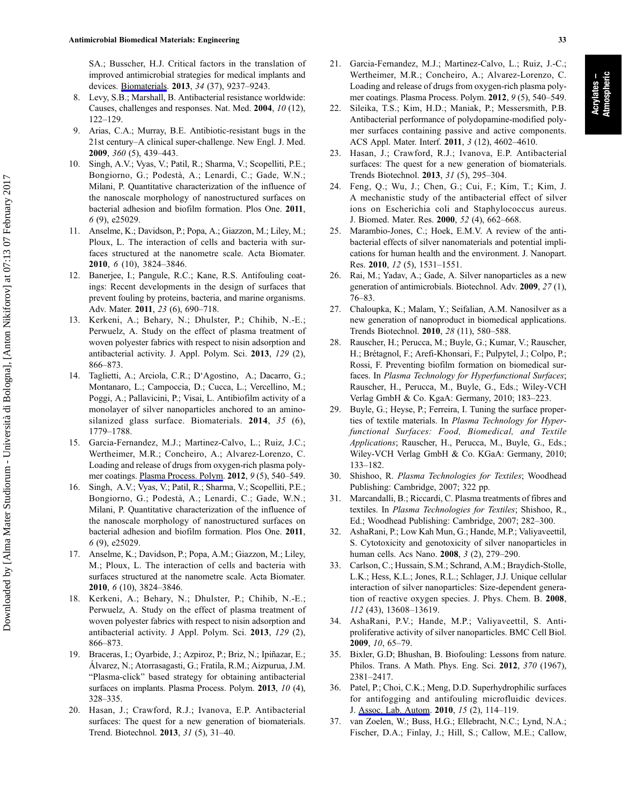<span id="page-7-0"></span>SA.; Busscher, H.J. Critical factors in the translation of improved antimicrobial strategies for medical implants and devices. [Biomaterials](http://www.crcnetbase.com/action/showLinks?crossref=10.1016%2Fj.biomaterials.2013.08.043). 2013, 34 (37), 9237-9243.

- 8. Levy, S.B.; Marshall, B. Antibacterial resistance worldwide: Causes, challenges and responses. Nat. Med. 2004, 10 (12), 122–129.
- 9. Arias, C.A.; Murray, B.E. Antibiotic-resistant bugs in the 21st century–A clinical super-challenge. New Engl. J. Med. 2009, 360 (5), 439–443.
- 10. Singh, A.V.; Vyas, V.; Patil, R.; Sharma, V.; Scopelliti, P.E.; Bongiorno, G.; Podestà, A.; Lenardi, C.; Gade, W.N.; Milani, P. Quantitative characterization of the influence of the nanoscale morphology of nanostructured surfaces on bacterial adhesion and biofilm formation. Plos One. 2011, 6 (9), e25029.
- 11. Anselme, K.; Davidson, P.; Popa, A.; Giazzon, M.; Liley, M.; Ploux, L. The interaction of cells and bacteria with surfaces structured at the nanometre scale. Acta Biomater. 2010, 6 (10), 3824–3846.
- 12. Banerjee, I.; Pangule, R.C.; Kane, R.S. Antifouling coatings: Recent developments in the design of surfaces that prevent fouling by proteins, bacteria, and marine organisms. Adv. Mater. 2011, 23 (6), 690-718.
- 13. Kerkeni, A.; Behary, N.; Dhulster, P.; Chihib, N.-E.; Perwuelz, A. Study on the effect of plasma treatment of woven polyester fabrics with respect to nisin adsorption and antibacterial activity. J. Appl. Polym. Sci. 2013, 129 (2), 866–873.
- 14. Taglietti, A.; Arciola, C.R.; D'Agostino, A.; Dacarro, G.; Montanaro, L.; Campoccia, D.; Cucca, L.; Vercellino, M.; Poggi, A.; Pallavicini, P.; Visai, L. Antibiofilm activity of a monolayer of silver nanoparticles anchored to an aminosilanized glass surface. Biomaterials. 2014, 35 (6), 1779–1788.
- 15. Garcia-Fernandez, M.J.; Martinez-Calvo, L.; Ruiz, J.C.; Wertheimer, M.R.; Concheiro, A.; Alvarez-Lorenzo, C. Loading and release of drugs from oxygen-rich plasma poly-mer coatings. [Plasma Process. Polym.](http://www.crcnetbase.com/action/showLinks?crossref=10.1002%2Fppap.201100192) 2012, 9(5), 540–549.
- 16. Singh, A.V.; Vyas, V.; Patil, R.; Sharma, V.; Scopelliti, P.E.; Bongiorno, G.; Podestà, A.; Lenardi, C.; Gade, W.N.; Milani, P. Quantitative characterization of the influence of the nanoscale morphology of nanostructured surfaces on bacterial adhesion and biofilm formation. Plos One. 2011, 6 (9), e25029.
- 17. Anselme, K.; Davidson, P.; Popa, A.M.; Giazzon, M.; Liley, M.; Ploux, L. The interaction of cells and bacteria with surfaces structured at the nanometre scale. Acta Biomater. 2010, 6 (10), 3824–3846.
- 18. Kerkeni, A.; Behary, N.; Dhulster, P.; Chihib, N.-E.; Perwuelz, A. Study on the effect of plasma treatment of woven polyester fabrics with respect to nisin adsorption and antibacterial activity. J Appl. Polym. Sci. 2013, 129 (2), 866–873.
- 19. Braceras, I.; Oyarbide, J.; Azpiroz, P.; Briz, N.; Ipiñazar, E.; Álvarez, N.; Atorrasagasti, G.; Fratila, R.M.; Aizpurua, J.M. "Plasma-click" based strategy for obtaining antibacterial surfaces on implants. Plasma Process. Polym. 2013, 10 (4), 328–335.
- 20. Hasan, J.; Crawford, R.J.; Ivanova, E.P. Antibacterial surfaces: The quest for a new generation of biomaterials. Trend. Biotechnol. 2013, 31 (5), 31–40.
- 21. Garcia-Fernandez, M.J.; Martinez-Calvo, L.; Ruiz, J.-C.; Wertheimer, M.R.; Concheiro, A.; Alvarez-Lorenzo, C. Loading and release of drugs from oxygen-rich plasma polymer coatings. Plasma Process. Polym. 2012, 9 (5), 540–549.
- 22. Sileika, T.S.; Kim, H.D.; Maniak, P.; Messersmith, P.B. Antibacterial performance of polydopamine-modified polymer surfaces containing passive and active components. ACS Appl. Mater. Interf. 2011, 3 (12), 4602–4610.
- 23. Hasan, J.; Crawford, R.J.; Ivanova, E.P. Antibacterial surfaces: The quest for a new generation of biomaterials. Trends Biotechnol. 2013, 31 (5), 295–304.
- 24. Feng, Q.; Wu, J.; Chen, G.; Cui, F.; Kim, T.; Kim, J. A mechanistic study of the antibacterial effect of silver ions on Escherichia coli and Staphylococcus aureus. J. Biomed. Mater. Res. 2000, 52 (4), 662–668.
- 25. Marambio-Jones, C.; Hoek, E.M.V. A review of the antibacterial effects of silver nanomaterials and potential implications for human health and the environment. J. Nanopart. Res. 2010, 12 (5), 1531–1551.
- 26. Rai, M.; Yadav, A.; Gade, A. Silver nanoparticles as a new generation of antimicrobials. Biotechnol. Adv. 2009, 27 (1), 76–83.
- 27. Chaloupka, K.; Malam, Y.; Seifalian, A.M. Nanosilver as a new generation of nanoproduct in biomedical applications. Trends Biotechnol. 2010, 28 (11), 580–588.
- 28. Rauscher, H.; Perucca, M.; Buyle, G.; Kumar, V.; Rauscher, H.; Brétagnol, F.; Arefi-Khonsari, F.; Pulpytel, J.; Colpo, P.; Rossi, F. Preventing biofilm formation on biomedical surfaces. In Plasma Technology for Hyperfunctional Surfaces; Rauscher, H., Perucca, M., Buyle, G., Eds.; Wiley-VCH Verlag GmbH & Co. KgaA: Germany, 2010; 183–223.
- 29. Buyle, G.; Heyse, P.; Ferreira, I. Tuning the surface properties of textile materials. In Plasma Technology for Hyperfunctional Surfaces: Food, Biomedical, and Textile Applications; Rauscher, H., Perucca, M., Buyle, G., Eds.; Wiley-VCH Verlag GmbH & Co. KGaA: Germany, 2010; 133–182.
- 30. Shishoo, R. Plasma Technologies for Textiles; Woodhead Publishing: Cambridge, 2007; 322 pp.
- 31. Marcandalli, B.; Riccardi, C. Plasma treatments of fibres and textiles. In Plasma Technologies for Textiles; Shishoo, R., Ed.; Woodhead Publishing: Cambridge, 2007; 282–300.
- 32. AshaRani, P.; Low Kah Mun, G.; Hande, M.P.; Valiyaveettil, S. Cytotoxicity and genotoxicity of silver nanoparticles in human cells. Acs Nano. 2008, 3 (2), 279–290.
- 33. Carlson, C.; Hussain, S.M.; Schrand, A.M.; Braydich-Stolle, L.K.; Hess, K.L.; Jones, R.L.; Schlager, J.J. Unique cellular interaction of silver nanoparticles: Size-dependent generation of reactive oxygen species. J. Phys. Chem. B. 2008, 112 (43), 13608–13619.
- 34. AshaRani, P.V.; Hande, M.P.; Valiyaveettil, S. Antiproliferative activity of silver nanoparticles. BMC Cell Biol. 2009, 10, 65–79.
- 35. Bixler, G.D; Bhushan, B. Biofouling: Lessons from nature. Philos. Trans. A Math. Phys. Eng. Sci. 2012, 370 (1967), 2381–2417.
- 36. Patel, P.; Choi, C.K.; Meng, D.D. Superhydrophilic surfaces for antifogging and antifouling microfluidic devices. J. [Assoc. Lab. Autom](http://www.crcnetbase.com/action/showLinks?crossref=10.1016%2Fj.jala.2009.10.012). 2010, 15 (2), 114–119.
- 37. van Zoelen, W.; Buss, H.G.; Ellebracht, N.C.; Lynd, N.A.; Fischer, D.A.; Finlay, J.; Hill, S.; Callow, M.E.; Callow,

Atmospheric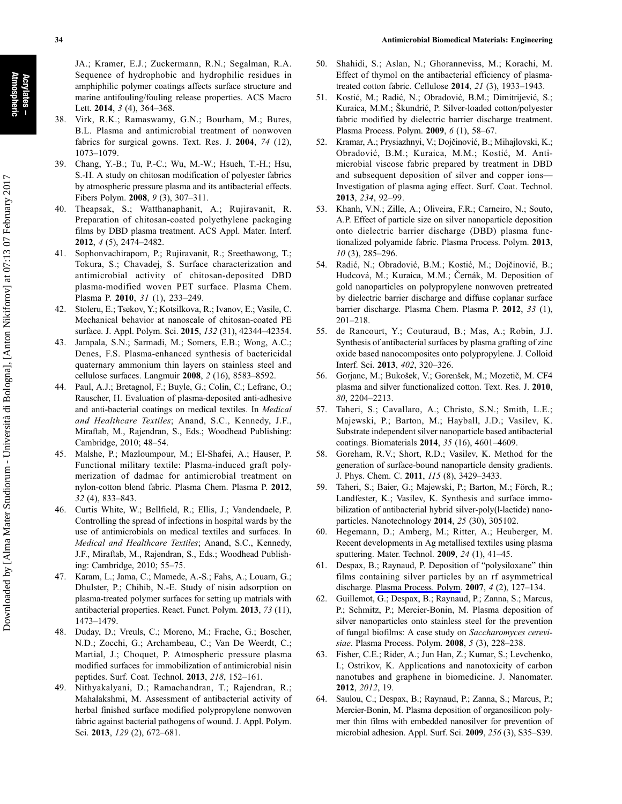<span id="page-8-0"></span>JA.; Kramer, E.J.; Zuckermann, R.N.; Segalman, R.A. Sequence of hydrophobic and hydrophilic residues in amphiphilic polymer coatings affects surface structure and marine antifouling/fouling release properties. ACS Macro Lett. 2014, 3 (4), 364–368.

- 38. Virk, R.K.; Ramaswamy, G.N.; Bourham, M.; Bures, B.L. Plasma and antimicrobial treatment of nonwoven fabrics for surgical gowns. Text. Res. J. 2004, 74 (12), 1073–1079.
- 39. Chang, Y.-B.; Tu, P.-C.; Wu, M.-W.; Hsueh, T.-H.; Hsu, S.-H. A study on chitosan modification of polyester fabrics by atmospheric pressure plasma and its antibacterial effects. Fibers Polym. 2008, 9 (3), 307–311.
- 40. Theapsak, S.; Watthanaphanit, A.; Rujiravanit, R. Preparation of chitosan-coated polyethylene packaging films by DBD plasma treatment. ACS Appl. Mater. Interf. 2012, 4 (5), 2474–2482.
- 41. Sophonvachiraporn, P.; Rujiravanit, R.; Sreethawong, T.; Tokura, S.; Chavadej, S. Surface characterization and antimicrobial activity of chitosan-deposited DBD plasma-modified woven PET surface. Plasma Chem. Plasma P. 2010, 31 (1), 233–249.
- 42. Stoleru, E.; Tsekov, Y.; Kotsilkova, R.; Ivanov, E.; Vasile, C. Mechanical behavior at nanoscale of chitosan-coated PE surface. J. Appl. Polym. Sci. 2015, 132 (31), 42344–42354.
- 43. Jampala, S.N.; Sarmadi, M.; Somers, E.B.; Wong, A.C.; Denes, F.S. Plasma-enhanced synthesis of bactericidal quaternary ammonium thin layers on stainless steel and cellulose surfaces. Langmuir 2008, 2 (16), 8583–8592.
- 44. Paul, A.J.; Bretagnol, F.; Buyle, G.; Colin, C.; Lefranc, O.; Rauscher, H. Evaluation of plasma-deposited anti-adhesive and anti-bacterial coatings on medical textiles. In Medical and Healthcare Textiles; Anand, S.C., Kennedy, J.F., Miraftab, M., Rajendran, S., Eds.; Woodhead Publishing: Cambridge, 2010; 48–54.
- 45. Malshe, P.; Mazloumpour, M.; El-Shafei, A.; Hauser, P. Functional military textile: Plasma-induced graft polymerization of dadmac for antimicrobial treatment on nylon-cotton blend fabric. Plasma Chem. Plasma P. 2012, 32 (4), 833–843.
- 46. Curtis White, W.; Bellfield, R.; Ellis, J.; Vandendaele, P. Controlling the spread of infections in hospital wards by the use of antimicrobials on medical textiles and surfaces. In Medical and Healthcare Textiles; Anand, S.C., Kennedy, J.F., Miraftab, M., Rajendran, S., Eds.; Woodhead Publishing: Cambridge, 2010; 55–75.
- 47. Karam, L.; Jama, C.; Mamede, A.-S.; Fahs, A.; Louarn, G.; Dhulster, P.; Chihib, N.-E. Study of nisin adsorption on plasma-treated polymer surfaces for setting up matrials with antibacterial properties. React. Funct. Polym. 2013, 73 (11), 1473–1479.
- 48. Duday, D.; Vreuls, C.; Moreno, M.; Frache, G.; Boscher, N.D.; Zocchi, G.; Archambeau, C.; Van De Weerdt, C.; Martial, J.; Choquet, P. Atmospheric pressure plasma modified surfaces for immobilization of antimicrobial nisin peptides. Surf. Coat. Technol. 2013, 218, 152–161.
- 49. Nithyakalyani, D.; Ramachandran, T.; Rajendran, R.; Mahalakshmi, M. Assessment of antibacterial activity of herbal finished surface modified polypropylene nonwoven fabric against bacterial pathogens of wound. J. Appl. Polym. Sci. 2013, 129 (2), 672–681.
- 50. Shahidi, S.; Aslan, N.; Ghoranneviss, M.; Korachi, M. Effect of thymol on the antibacterial efficiency of plasmatreated cotton fabric. Cellulose 2014, 21 (3), 1933–1943.
- 51. Kostić, M.; Radić, N.; Obradović, B.M.; Dimitrijević, S.; Kuraica, M.M.; Škundrić, P. Silver-loaded cotton/polyester fabric modified by dielectric barrier discharge treatment. Plasma Process. Polym. 2009, 6 (1), 58–67.
- 52. Kramar, A.; Prysiazhnyi, V.; Dojčinović, B.; Mihajlovski, K.; Obradović, B.M.; Kuraica, M.M.; Kostić, M. Antimicrobial viscose fabric prepared by treatment in DBD and subsequent deposition of silver and copper ions— Investigation of plasma aging effect. Surf. Coat. Technol. 2013, 234, 92–99.
- 53. Khanh, V.N.; Zille, A.; Oliveira, F.R.; Carneiro, N.; Souto, A.P. Effect of particle size on silver nanoparticle deposition onto dielectric barrier discharge (DBD) plasma functionalized polyamide fabric. Plasma Process. Polym. 2013, 10 (3), 285–296.
- 54. Radić, N.; Obradović, B.M.; Kostić, M.; Dojčinović, B.; Hudcová, M.; Kuraica, M.M.; Černák, M. Deposition of gold nanoparticles on polypropylene nonwoven pretreated by dielectric barrier discharge and diffuse coplanar surface barrier discharge. Plasma Chem. Plasma P. 2012, 33 (1), 201–218.
- 55. de Rancourt, Y.; Couturaud, B.; Mas, A.; Robin, J.J. Synthesis of antibacterial surfaces by plasma grafting of zinc oxide based nanocomposites onto polypropylene. J. Colloid Interf. Sci. 2013, 402, 320–326.
- 56. Gorjanc, M.; Bukošek, V.; Gorenšek, M.; Mozetič, M. CF4 plasma and silver functionalized cotton. Text. Res. J. 2010, 80, 2204–2213.
- 57. Taheri, S.; Cavallaro, A.; Christo, S.N.; Smith, L.E.; Majewski, P.; Barton, M.; Hayball, J.D.; Vasilev, K. Substrate independent silver nanoparticle based antibacterial coatings. Biomaterials 2014, 35 (16), 4601–4609.
- 58. Goreham, R.V.; Short, R.D.; Vasilev, K. Method for the generation of surface-bound nanoparticle density gradients. J. Phys. Chem. C. 2011, 115 (8), 3429–3433.
- 59. Taheri, S.; Baier, G.; Majewski, P.; Barton, M.; Förch, R.; Landfester, K.; Vasilev, K. Synthesis and surface immobilization of antibacterial hybrid silver-poly(l-lactide) nanoparticles. Nanotechnology 2014, 25 (30), 305102.
- 60. Hegemann, D.; Amberg, M.; Ritter, A.; Heuberger, M. Recent developments in Ag metallised textiles using plasma sputtering. Mater. Technol. 2009, 24 (1), 41–45.
- 61. Despax, B.; Raynaud, P. Deposition of "polysiloxane" thin films containing silver particles by an rf asymmetrical discharge. [Plasma Process. Polym](http://www.crcnetbase.com/action/showLinks?crossref=10.1002%2Fppap.200600083). 2007, 4 (2), 127–134.
- 62. Guillemot, G.; Despax, B.; Raynaud, P.; Zanna, S.; Marcus, P.; Schmitz, P.; Mercier-Bonin, M. Plasma deposition of silver nanoparticles onto stainless steel for the prevention of fungal biofilms: A case study on Saccharomyces cerevisiae. Plasma Process. Polym. 2008, 5 (3), 228–238.
- 63. Fisher, C.E.; Rider, A.; Jun Han, Z.; Kumar, S.; Levchenko, I.; Ostrikov, K. Applications and nanotoxicity of carbon nanotubes and graphene in biomedicine. J. Nanomater. 2012, 2012, 19.
- 64. Saulou, C.; Despax, B.; Raynaud, P.; Zanna, S.; Marcus, P.; Mercier-Bonin, M. Plasma deposition of organosilicon polymer thin films with embedded nanosilver for prevention of microbial adhesion. Appl. Surf. Sci. 2009, 256 (3), S35–S39.